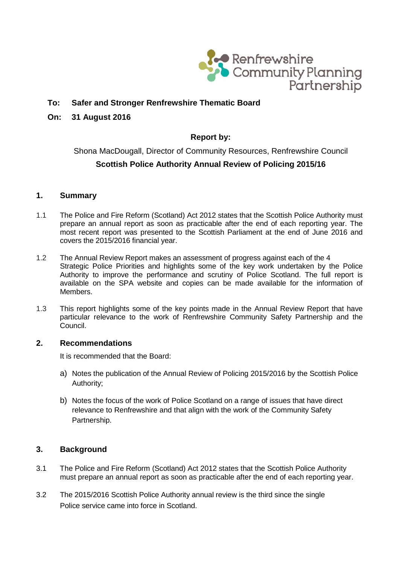

# **To: Safer and Stronger Renfrewshire Thematic Board**

#### **On: 31 August 2016**

## **Report by:**

# Shona MacDougall, Director of Community Resources, Renfrewshire Council **Scottish Police Authority Annual Review of Policing 2015/16**

### **1. Summary**

- 1.1 The Police and Fire Reform (Scotland) Act 2012 states that the Scottish Police Authority must prepare an annual report as soon as practicable after the end of each reporting year. The most recent report was presented to the Scottish Parliament at the end of June 2016 and covers the 2015/2016 financial year.
- 1.2 The Annual Review Report makes an assessment of progress against each of the 4 Strategic Police Priorities and highlights some of the key work undertaken by the Police Authority to improve the performance and scrutiny of Police Scotland. The full report is available on the SPA website and copies can be made available for the information of Members.
- 1.3 This report highlights some of the key points made in the Annual Review Report that have particular relevance to the work of Renfrewshire Community Safety Partnership and the Council.

#### **2. Recommendations**

It is recommended that the Board:

- a) Notes the publication of the Annual Review of Policing 2015/2016 by the Scottish Police Authority;
- b) Notes the focus of the work of Police Scotland on a range of issues that have direct relevance to Renfrewshire and that align with the work of the Community Safety Partnership.

### **3. Background**

- 3.1 The Police and Fire Reform (Scotland) Act 2012 states that the Scottish Police Authority must prepare an annual report as soon as practicable after the end of each reporting year.
- 3.2 The 2015/2016 Scottish Police Authority annual review is the third since the single Police service came into force in Scotland.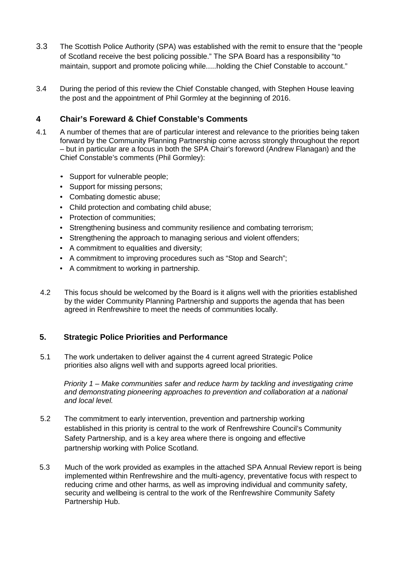- 3.3 The Scottish Police Authority (SPA) was established with the remit to ensure that the "people of Scotland receive the best policing possible." The SPA Board has a responsibility "to maintain, support and promote policing while.....holding the Chief Constable to account."
- 3.4 During the period of this review the Chief Constable changed, with Stephen House leaving the post and the appointment of Phil Gormley at the beginning of 2016.

# **4 Chair's Foreward & Chief Constable's Comments**

- 4.1 A number of themes that are of particular interest and relevance to the priorities being taken forward by the Community Planning Partnership come across strongly throughout the report – but in particular are a focus in both the SPA Chair's foreword (Andrew Flanagan) and the Chief Constable's comments (Phil Gormley):
	- Support for vulnerable people;
	- Support for missing persons;
	- Combating domestic abuse;
	- Child protection and combating child abuse;
	- Protection of communities;
	- Strengthening business and community resilience and combating terrorism;
	- Strengthening the approach to managing serious and violent offenders;
	- A commitment to equalities and diversity;
	- A commitment to improving procedures such as "Stop and Search";
	- A commitment to working in partnership.
	- 4.2 This focus should be welcomed by the Board is it aligns well with the priorities established by the wider Community Planning Partnership and supports the agenda that has been agreed in Renfrewshire to meet the needs of communities locally.

### **5. Strategic Police Priorities and Performance**

5.1 The work undertaken to deliver against the 4 current agreed Strategic Police priorities also aligns well with and supports agreed local priorities.

*Priority 1 – Make communities safer and reduce harm by tackling and investigating crime and demonstrating pioneering approaches to prevention and collaboration at a national and local level.*

- 5.2 The commitment to early intervention, prevention and partnership working established in this priority is central to the work of Renfrewshire Council's Community Safety Partnership, and is a key area where there is ongoing and effective partnership working with Police Scotland.
- 5.3 Much of the work provided as examples in the attached SPA Annual Review report is being implemented within Renfrewshire and the multi-agency, preventative focus with respect to reducing crime and other harms, as well as improving individual and community safety, security and wellbeing is central to the work of the Renfrewshire Community Safety Partnership Hub.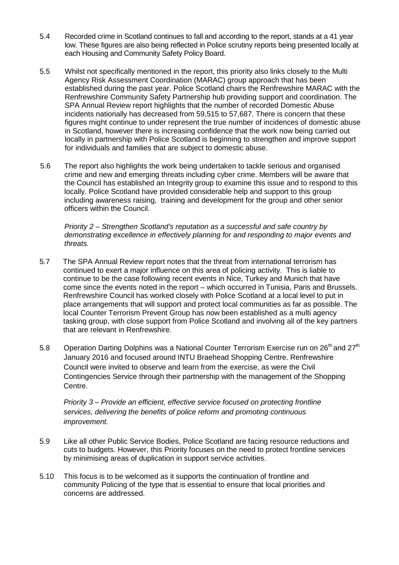- 5.4 Recorded crime in Scotland continues to fall and according to the report, stands at a 41 year low. These figures are also being reflected in Police scrutiny reports being presented locally at each Housing and Community Safety Policy Board.
- 5.5 Whilst not specifically mentioned in the report, this priority also links closely to the Multi Agency Risk Assessment Coordination (MARAC) group approach that has been established during the past year. Police Scotland chairs the Renfrewshire MARAC with the Renfrewshire Community Safety Partnership hub providing support and coordination. The SPA Annual Review report highlights that the number of recorded Domestic Abuse incidents nationally has decreased from 59,515 to 57,687. There is concern that these figures might continue to under represent the true number of incidences of domestic abuse in Scotland, however there is increasing confidence that the work now being carried out locally in partnership with Police Scotland is beginning to strengthen and improve support for individuals and families that are subject to domestic abuse.
- 5.6 The report also highlights the work being undertaken to tackle serious and organised crime and new and emerging threats including cyber crime. Members will be aware that the Council has established an Integrity group to examine this issue and to respond to this locally. Police Scotland have provided considerable help and support to this group including awareness raising, training and development for the group and other senior officers within the Council.

*Priority 2 – Strengthen Scotland's reputation as a successful and safe country by demonstrating excellence in effectively planning for and responding to major events and threats.*

- 5.7 The SPA Annual Review report notes that the threat from international terrorism has continued to exert a major influence on this area of policing activity. This is liable to continue to be the case following recent events in Nice, Turkey and Munich that have come since the events noted in the report – which occurred in Tunisia, Paris and Brussels. Renfrewshire Council has worked closely with Police Scotland at a local level to put in place arrangements that will support and protect local communities as far as possible. The local Counter Terrorism Prevent Group has now been established as a multi agency tasking group, with close support from Police Scotland and involving all of the key partners that are relevant in Renfrewshire.
- 5.8 Operation Darting Dolphins was a National Counter Terrorism Exercise run on 26<sup>th</sup> and 27<sup>th</sup> January 2016 and focused around INTU Braehead Shopping Centre. Renfrewshire Council were invited to observe and learn from the exercise, as were the Civil Contingencies Service through their partnership with the management of the Shopping Centre.

*Priority 3 – Provide an efficient, effective service focused on protecting frontline services, delivering the benefits of police reform and promoting continuous improvement.*

- 5.9 Like all other Public Service Bodies, Police Scotland are facing resource reductions and cuts to budgets. However, this Priority focuses on the need to protect frontline services by minimising areas of duplication in support service activities.
- 5.10 This focus is to be welcomed as it supports the continuation of frontline and community Policing of the type that is essential to ensure that local priorities and concerns are addressed.